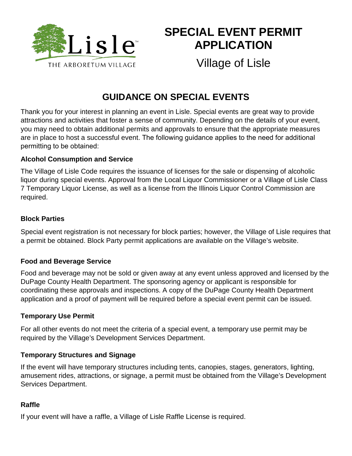

# **SPECIAL EVENT PERMIT APPLICATION**

Village of Lisle

## **GUIDANCE ON SPECIAL EVENTS**

Thank you for your interest in planning an event in Lisle. Special events are great way to provide attractions and activities that foster a sense of community. Depending on the details of your event, you may need to obtain additional permits and approvals to ensure that the appropriate measures are in place to host a successful event. The following guidance applies to the need for additional permitting to be obtained:

#### **Alcohol Consumption and Service**

The Village of Lisle Code requires the issuance of licenses for the sale or dispensing of alcoholic liquor during special events. Approval from the Local Liquor Commissioner or a Village of Lisle Class 7 Temporary Liquor License, as well as a license from the Illinois Liquor Control Commission are required.

#### **Block Parties**

Special event registration is not necessary for block parties; however, the Village of Lisle requires that a permit be obtained. Block Party permit applications are available on the Village's website.

#### **Food and Beverage Service**

Food and beverage may not be sold or given away at any event unless approved and licensed by the DuPage County Health Department. The sponsoring agency or applicant is responsible for coordinating these approvals and inspections. A copy of the DuPage County Health Department application and a proof of payment will be required before a special event permit can be issued.

#### **Temporary Use Permit**

For all other events do not meet the criteria of a special event, a temporary use permit may be required by the Village's Development Services Department.

#### **Temporary Structures and Signage**

If the event will have temporary structures including tents, canopies, stages, generators, lighting, amusement rides, attractions, or signage, a permit must be obtained from the Village's Development Services Department.

#### **Raffle**

If your event will have a raffle, a Village of Lisle Raffle License is required.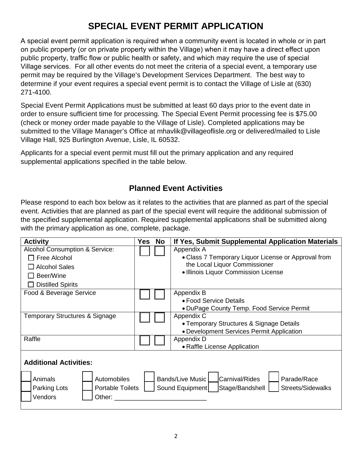## **SPECIAL EVENT PERMIT APPLICATION**

A special event permit application is required when a community event is located in whole or in part on public property (or on private property within the Village) when it may have a direct effect upon public property, traffic flow or public health or safety, and which may require the use of special Village services. For all other events do not meet the criteria of a special event, a temporary use permit may be required by the Village's Development Services Department. The best way to determine if your event requires a special event permit is to contact the Village of Lisle at (630) 271-4100.

Special Event Permit Applications must be submitted at least 60 days prior to the event date in order to ensure sufficient time for processing. The Special Event Permit processing fee is \$75.00 (check or money order made payable to the Village of Lisle). Completed applications may be submitted to the Village Manager's Office at mhavlik@villageoflisle.org or delivered/mailed to Lisle Village Hall, 925 Burlington Avenue, Lisle, IL 60532.

Applicants for a special event permit must fill out the primary application and any required supplemental applications specified in the table below.

#### **Planned Event Activities**

Please respond to each box below as it relates to the activities that are planned as part of the special event. Activities that are planned as part of the special event will require the additional submission of the specified supplemental application. Required supplemental applications shall be submitted along with the primary application as one, complete, package.

| <b>Activity</b>                            | <b>Yes</b> | <b>No</b> | If Yes, Submit Supplemental Application Materials              |
|--------------------------------------------|------------|-----------|----------------------------------------------------------------|
| Alcohol Consumption & Service:             |            |           | Appendix A                                                     |
| $\Box$ Free Alcohol                        |            |           | • Class 7 Temporary Liquor License or Approval from            |
| $\Box$ Alcohol Sales                       |            |           | the Local Liquor Commissioner                                  |
| Beer/Wine                                  |            |           | • Illinois Liquor Commission License                           |
| <b>Distilled Spirits</b>                   |            |           |                                                                |
| Food & Beverage Service                    |            |           | Appendix B                                                     |
|                                            |            |           | • Food Service Details                                         |
|                                            |            |           | • DuPage County Temp. Food Service Permit                      |
| Temporary Structures & Signage             |            |           | Appendix C                                                     |
|                                            |            |           | • Temporary Structures & Signage Details                       |
|                                            |            |           | • Development Services Permit Application                      |
| Raffle                                     |            |           | Appendix D                                                     |
|                                            |            |           | • Raffle License Application                                   |
| <b>Additional Activities:</b>              |            |           |                                                                |
|                                            |            |           |                                                                |
| Animals<br>Automobiles                     |            |           | Carnival/Rides<br>Bands/Live Music<br>Parade/Race              |
| Parking Lots<br><b>Portable Toilets</b>    |            |           | <b>Streets/Sidewalks</b><br>Sound Equipment<br>Stage/Bandshell |
|                                            |            |           |                                                                |
|                                            |            |           |                                                                |
| Vendors<br>Other: $\overline{\phantom{a}}$ |            |           |                                                                |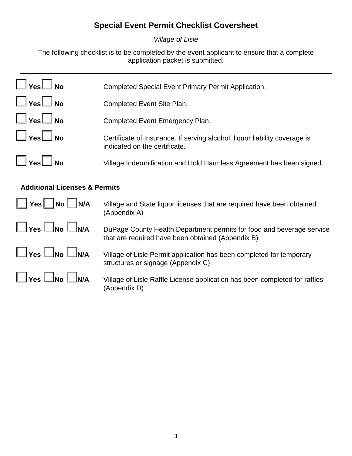## **Special Event Permit Checklist Coversheet**

*Village of Lisle*

The following checklist is to be completed by the event applicant to ensure that a complete application packet is submitted.

| $\Box$ Yes $\Box$ No       | Completed Special Event Primary Permit Application.                                                         |
|----------------------------|-------------------------------------------------------------------------------------------------------------|
| $\square$ Yes $\square$ No | Completed Event Site Plan.                                                                                  |
| $\square$ Yes $\square$ No | Completed Event Emergency Plan.                                                                             |
| $\square$ Yes $\square$ No | Certificate of Insurance. If serving alcohol, liquor liability coverage is<br>indicated on the certificate. |
| $\Box$ Yes $\Box$ No       | Village Indemnification and Hold Harmless Agreement has been signed.                                        |

### **Additional Licenses & Permits**

| $\vert$   Yes     No     N/A                                                                                                                         | Village and State liquor licenses that are required have been obtained<br>(Appendix A)                                     |
|------------------------------------------------------------------------------------------------------------------------------------------------------|----------------------------------------------------------------------------------------------------------------------------|
| $\left  \begin{array}{c} \end{array} \right $ Yes $\left  \begin{array}{c} \end{array} \right $ No $\left  \begin{array}{c} \end{array} \right $ N/A | DuPage County Health Department permits for food and beverage service<br>that are required have been obtained (Appendix B) |
| $\Box$ Yes $\Box$ No $\Box$ N/A                                                                                                                      | Village of Lisle Permit application has been completed for temporary<br>structures or signage (Appendix C)                 |
| $\Box$ Yes $\Box$ No $\Box$ N/A                                                                                                                      | Village of Lisle Raffle License application has been completed for raffles<br>(Appendix D)                                 |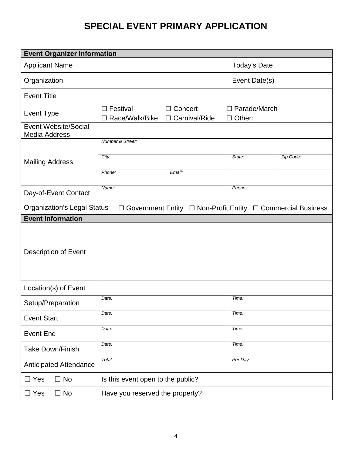## **SPECIAL EVENT PRIMARY APPLICATION**

| <b>Event Organizer Information</b>           |                                                                           |                                      |  |
|----------------------------------------------|---------------------------------------------------------------------------|--------------------------------------|--|
| <b>Applicant Name</b>                        |                                                                           | Today's Date                         |  |
| Organization                                 |                                                                           | Event Date(s)                        |  |
| <b>Event Title</b>                           |                                                                           |                                      |  |
| Event Type                                   | □ Concert<br>$\Box$ Festival<br>Race/Walk/Bike<br>Carnival/Ride<br>$\Box$ | $\Box$ Parade/March<br>$\Box$ Other: |  |
| Event Website/Social<br><b>Media Address</b> |                                                                           |                                      |  |
|                                              | Number & Street:                                                          |                                      |  |
| <b>Mailing Address</b>                       | City:                                                                     | Zip Code:<br>State:                  |  |
|                                              | Phone:<br>Email:                                                          |                                      |  |
| Day-of-Event Contact                         | Name:                                                                     | Phone:                               |  |
| <b>Organization's Legal Status</b>           | $\Box$ Government Entity $\Box$ Non-Profit Entity                         | □ Commercial Business                |  |
| <b>Event Information</b>                     |                                                                           |                                      |  |
| Description of Event                         |                                                                           |                                      |  |
| Location(s) of Event                         |                                                                           |                                      |  |
| Setup/Preparation                            | Date:                                                                     | Time:                                |  |
| <b>Event Start</b>                           | Date:                                                                     | Time:                                |  |
| <b>Event End</b>                             | Date:                                                                     | Time:                                |  |
| <b>Take Down/Finish</b>                      | Date:                                                                     | Time:                                |  |
| Anticipated Attendance                       | Total:                                                                    | Per Day:                             |  |
| $\Box$ No<br>$\Box$ Yes                      | Is this event open to the public?                                         |                                      |  |
| $\Box$ No<br>$\Box$ Yes                      | Have you reserved the property?                                           |                                      |  |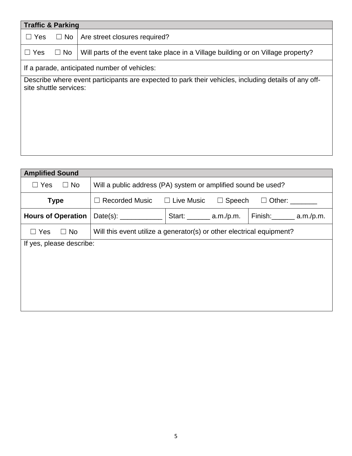| <b>Traffic &amp; Parking</b> |                                                                                                      |
|------------------------------|------------------------------------------------------------------------------------------------------|
| $\Box$ Yes<br>$\Box$ No      | Are street closures required?                                                                        |
| $\Box$ No<br>$\Box$ Yes      | Will parts of the event take place in a Village building or on Village property?                     |
|                              | If a parade, anticipated number of vehicles:                                                         |
| site shuttle services:       | Describe where event participants are expected to park their vehicles, including details of any off- |

| <b>Amplified Sound</b>    |                                                                              |                                  |  |                             |
|---------------------------|------------------------------------------------------------------------------|----------------------------------|--|-----------------------------|
| $\Box$ Yes<br>$\Box$ No   | Will a public address (PA) system or amplified sound be used?                |                                  |  |                             |
| <b>Type</b>               | $\Box$ Recorded Music<br>$\Box$ Live Music<br>$\Box$ Speech<br>$\Box$ Other: |                                  |  |                             |
| <b>Hours of Operation</b> | Date(s): ______________                                                      | Start: $\_\_\_\_\_\_\$ a.m./p.m. |  | Finish: _________ a.m./p.m. |
| $\Box$ Yes<br>$\Box$ No   | Will this event utilize a generator(s) or other electrical equipment?        |                                  |  |                             |
| If yes, please describe:  |                                                                              |                                  |  |                             |
|                           |                                                                              |                                  |  |                             |
|                           |                                                                              |                                  |  |                             |
|                           |                                                                              |                                  |  |                             |
|                           |                                                                              |                                  |  |                             |
|                           |                                                                              |                                  |  |                             |
|                           |                                                                              |                                  |  |                             |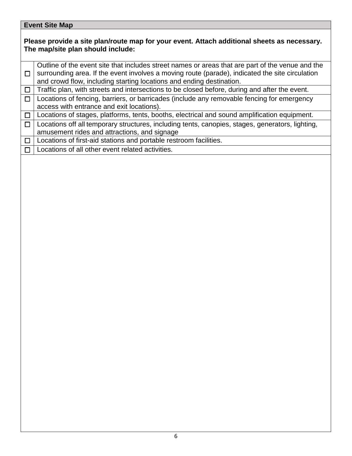#### **Event Site Map**

#### **Please provide a site plan/route map for your event. Attach additional sheets as necessary. The map/site plan should include:**

☐ Outline of the event site that includes street names or areas that are part of the venue and the surrounding area. If the event involves a moving route (parade), indicated the site circulation and crowd flow, including starting locations and ending destination.  $\Box$  Traffic plan, with streets and intersections to be closed before, during and after the event.

☐ Locations of fencing, barriers, or barricades (include any removable fencing for emergency access with entrance and exit locations).

☐ Locations of stages, platforms, tents, booths, electrical and sound amplification equipment.

☐ Locations off all temporary structures, including tents, canopies, stages, generators, lighting, amusement rides and attractions, and signage

 $\Box$  Locations of first-aid stations and portable restroom facilities.

☐ Locations of all other event related activities.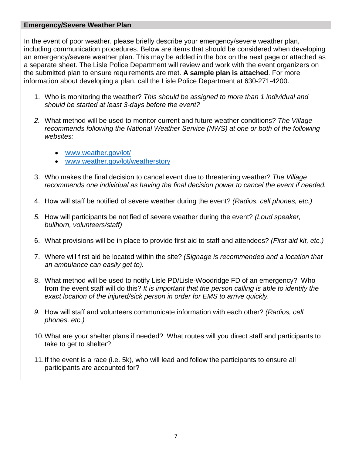#### **Emergency/Severe Weather Plan**

In the event of poor weather, please briefly describe your emergency/severe weather plan, including communication procedures. Below are items that should be considered when developing an emergency/severe weather plan. This may be added in the box on the next page or attached as a separate sheet. The Lisle Police Department will review and work with the event organizers on the submitted plan to ensure requirements are met. **A sample plan is attached**. For more information about developing a plan, call the Lisle Police Department at 630-271-4200.

- 1. Who is monitoring the weather? *This should be assigned to more than 1 individual and should be started at least 3-days before the event?*
- *2.* What method will be used to monitor current and future weather conditions? *The Village recommends following the National Weather Service (NWS) at one or both of the following websites:*
	- [www.weather.gov/lot/](http://www.weather.gov/lot/)
	- [www.weather.gov/lot/weatherstory](http://www.weather.gov/lot/weatherstory)
- 3. Who makes the final decision to cancel event due to threatening weather? *The Village recommends one individual as having the final decision power to cancel the event if needed.*
- 4. How will staff be notified of severe weather during the event? *(Radios, cell phones, etc.)*
- *5.* How will participants be notified of severe weather during the event? *(Loud speaker, bullhorn, volunteers/staff)*
- 6. What provisions will be in place to provide first aid to staff and attendees? *(First aid kit, etc.)*
- 7. Where will first aid be located within the site? *(Signage is recommended and a location that an ambulance can easily get to).*
- 8. What method will be used to notify Lisle PD/Lisle-Woodridge FD of an emergency? Who from the event staff will do this? *It is important that the person calling is able to identify the exact location of the injured/sick person in order for EMS to arrive quickly.*
- *9.* How will staff and volunteers communicate information with each other? *(Radios, cell phones, etc.)*
- 10.What are your shelter plans if needed? What routes will you direct staff and participants to take to get to shelter?
- 11.If the event is a race (i.e. 5k), who will lead and follow the participants to ensure all participants are accounted for?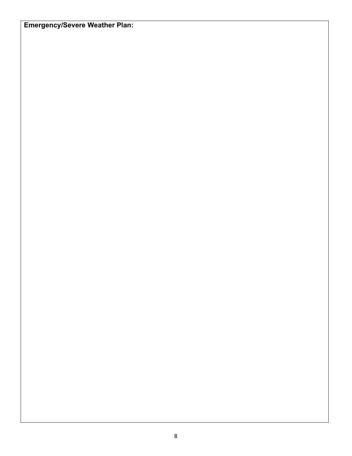## **Emergency/Severe Weather Plan:**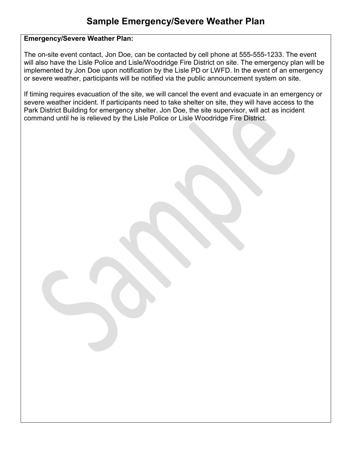#### Emergency/Severe Weather Plan:

The on-site event contact, Jon Doe, can be contacted by cell phone at 555-555-1233. The event will also have the Lisle Police and Lisle/Woodridge Fire District on site. The emergency plan will be implemented by Jon Doe upon notification by the Lisle PD or LWFD. In the event of an emergency or severe weather, participants will be notified via the public announcement system on site.

If timing requires evacuation of the site, we will cancel the event and evacuate in an emergency or severe weather incident. If participants need to take shelter on site, they will have access to the Park District Building for emergency shelter. Jon Doe, the site supervisor, will act as incident command until he is relieved by the Lisle Police or Lisle Woodridge Fire District.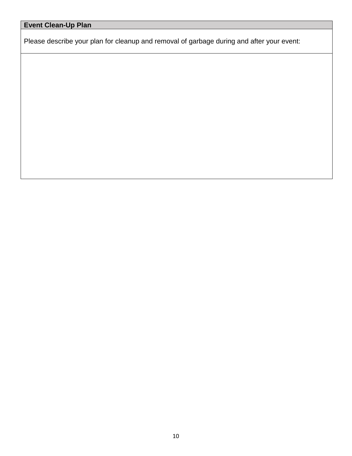## **Event Clean-Up Plan**

Please describe your plan for cleanup and removal of garbage during and after your event: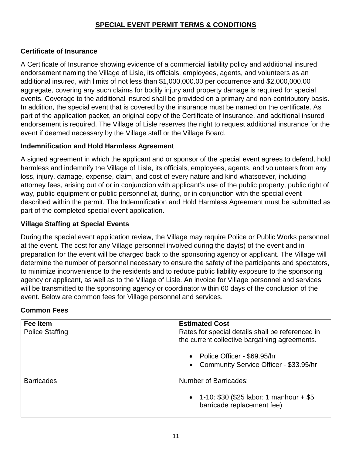#### **SPECIAL EVENT PERMIT TERMS & CONDITIONS**

#### **Certificate of Insurance**

A Certificate of Insurance showing evidence of a commercial liability policy and additional insured endorsement naming the Village of Lisle, its officials, employees, agents, and volunteers as an additional insured, with limits of not less than \$1,000,000.00 per occurrence and \$2,000,000.00 aggregate, covering any such claims for bodily injury and property damage is required for special events. Coverage to the additional insured shall be provided on a primary and non-contributory basis. In addition, the special event that is covered by the insurance must be named on the certificate. As part of the application packet, an original copy of the Certificate of Insurance, and additional insured endorsement is required. The Village of Lisle reserves the right to request additional insurance for the event if deemed necessary by the Village staff or the Village Board.

#### **Indemnification and Hold Harmless Agreement**

A signed agreement in which the applicant and or sponsor of the special event agrees to defend, hold harmless and indemnify the Village of Lisle, its officials, employees, agents, and volunteers from any loss, injury, damage, expense, claim, and cost of every nature and kind whatsoever, including attorney fees, arising out of or in conjunction with applicant's use of the public property, public right of way, public equipment or public personnel at, during, or in conjunction with the special event described within the permit. The Indemnification and Hold Harmless Agreement must be submitted as part of the completed special event application.

#### **Village Staffing at Special Events**

During the special event application review, the Village may require Police or Public Works personnel at the event. The cost for any Village personnel involved during the day(s) of the event and in preparation for the event will be charged back to the sponsoring agency or applicant. The Village will determine the number of personnel necessary to ensure the safety of the participants and spectators, to minimize inconvenience to the residents and to reduce public liability exposure to the sponsoring agency or applicant, as well as to the Village of Lisle. An invoice for Village personnel and services will be transmitted to the sponsoring agency or coordinator within 60 days of the conclusion of the event. Below are common fees for Village personnel and services.

#### **Common Fees**

| Fee Item               | <b>Estimated Cost</b>                                                                             |
|------------------------|---------------------------------------------------------------------------------------------------|
| <b>Police Staffing</b> | Rates for special details shall be referenced in<br>the current collective bargaining agreements. |
|                        | • Police Officer - \$69.95/hr<br>• Community Service Officer - \$33.95/hr                         |
| <b>Barricades</b>      | <b>Number of Barricades:</b>                                                                      |
|                        | • $1-10: $30 ($25 labor: 1 manhour + $5$<br>barricade replacement fee)                            |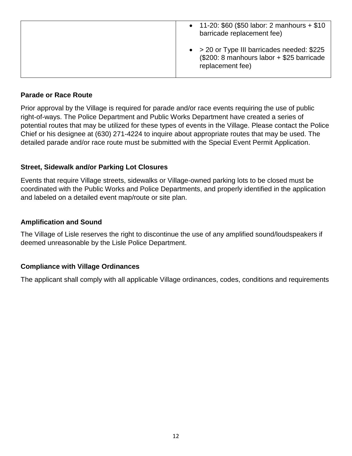| • 11-20: $$60$ (\$50 labor: 2 manhours + \$10<br>barricade replacement fee)                                           |
|-----------------------------------------------------------------------------------------------------------------------|
| $\bullet$ > 20 or Type III barricades needed: \$225<br>(\$200: 8 manhours labor + \$25 barricade)<br>replacement fee) |

#### **Parade or Race Route**

Prior approval by the Village is required for parade and/or race events requiring the use of public right-of-ways. The Police Department and Public Works Department have created a series of potential routes that may be utilized for these types of events in the Village. Please contact the Police Chief or his designee at (630) 271-4224 to inquire about appropriate routes that may be used. The detailed parade and/or race route must be submitted with the Special Event Permit Application.

#### **Street, Sidewalk and/or Parking Lot Closures**

Events that require Village streets, sidewalks or Village-owned parking lots to be closed must be coordinated with the Public Works and Police Departments, and properly identified in the application and labeled on a detailed event map/route or site plan.

#### **Amplification and Sound**

The Village of Lisle reserves the right to discontinue the use of any amplified sound/loudspeakers if deemed unreasonable by the Lisle Police Department.

#### **Compliance with Village Ordinances**

The applicant shall comply with all applicable Village ordinances, codes, conditions and requirements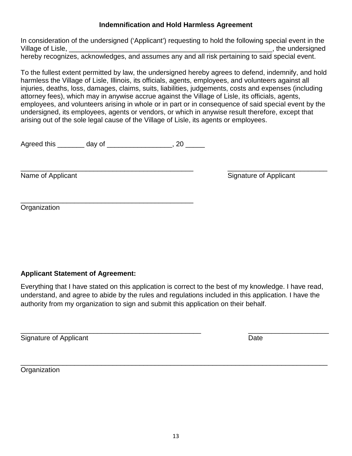#### **Indemnification and Hold Harmless Agreement**

In consideration of the undersigned ('Applicant') requesting to hold the following special event in the Village of Lisle, \_\_\_\_\_\_\_\_\_\_\_\_\_\_\_\_\_\_\_\_\_\_\_\_\_\_\_\_\_\_\_\_\_\_\_\_\_\_\_\_\_\_\_\_\_\_\_\_\_\_\_\_\_, the undersigned hereby recognizes, acknowledges, and assumes any and all risk pertaining to said special event.

To the fullest extent permitted by law, the undersigned hereby agrees to defend, indemnify, and hold harmless the Village of Lisle, Illinois, its officials, agents, employees, and volunteers against all injuries, deaths, loss, damages, claims, suits, liabilities, judgements, costs and expenses (including attorney fees), which may in anywise accrue against the Village of Lisle, its officials, agents, employees, and volunteers arising in whole or in part or in consequence of said special event by the undersigned, its employees, agents or vendors, or which in anywise result therefore, except that arising out of the sole legal cause of the Village of Lisle, its agents or employees.

Agreed this \_\_\_\_\_\_\_\_ day of \_\_\_\_\_\_\_\_\_\_\_\_\_\_\_\_\_, 20 \_\_\_\_\_

\_\_\_\_\_\_\_\_\_\_\_\_\_\_\_\_\_\_\_\_\_\_\_\_\_\_\_\_\_\_\_\_\_\_\_\_\_\_\_\_\_\_\_\_\_ \_\_\_\_\_\_\_\_\_\_\_\_\_\_\_\_\_\_\_\_\_\_\_\_\_\_ Name of Applicant Name of Applicant

\_\_\_\_\_\_\_\_\_\_\_\_\_\_\_\_\_\_\_\_\_\_\_\_\_\_\_\_\_\_\_\_\_\_\_\_\_\_\_\_\_\_\_\_\_ **Organization** 

#### **Applicant Statement of Agreement:**

Everything that I have stated on this application is correct to the best of my knowledge. I have read, understand, and agree to abide by the rules and regulations included in this application. I have the authority from my organization to sign and submit this application on their behalf.

\_\_\_\_\_\_\_\_\_\_\_\_\_\_\_\_\_\_\_\_\_\_\_\_\_\_\_\_\_\_\_\_\_\_\_\_\_\_\_\_\_\_\_\_\_\_\_ \_\_\_\_\_\_\_\_\_\_\_\_\_\_\_\_\_\_\_\_\_ Signature of Applicant Date **Date** 

\_\_\_\_\_\_\_\_\_\_\_\_\_\_\_\_\_\_\_\_\_\_\_\_\_\_\_\_\_\_\_\_\_\_\_\_\_\_\_\_\_\_\_\_\_\_\_\_\_\_\_\_\_\_\_\_\_\_\_\_\_\_\_\_\_\_\_\_\_\_\_\_\_\_\_\_\_\_\_\_ **Organization**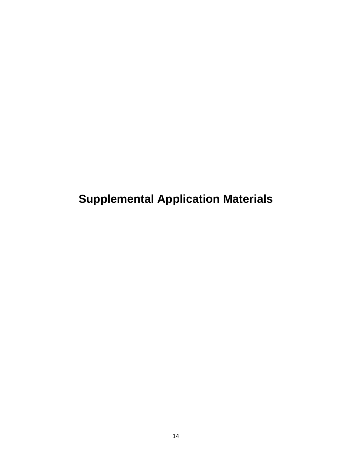**Supplemental Application Materials**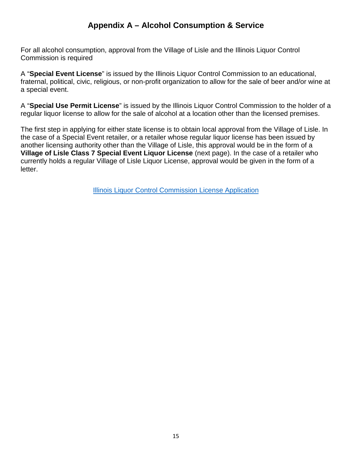### **Appendix A – Alcohol Consumption & Service**

For all alcohol consumption, approval from the Village of Lisle and the Illinois Liquor Control Commission is required

A "**Special Event License**" is issued by the Illinois Liquor Control Commission to an educational, fraternal, political, civic, religious, or non-profit organization to allow for the sale of beer and/or wine at a special event.

A "**Special Use Permit License**" is issued by the Illinois Liquor Control Commission to the holder of a regular liquor license to allow for the sale of alcohol at a location other than the licensed premises.

The first step in applying for either state license is to obtain local approval from the Village of Lisle. In the case of a Special Event retailer, or a retailer whose regular liquor license has been issued by another licensing authority other than the Village of Lisle, this approval would be in the form of a **Village of Lisle Class 7 Special Event Liquor License** (next page). In the case of a retailer who currently holds a regular Village of Lisle Liquor License, approval would be given in the form of a letter.

[Illinois Liquor Control Commission License Application](https://www2.illinois.gov/ilcc/Pages/Applications.aspx)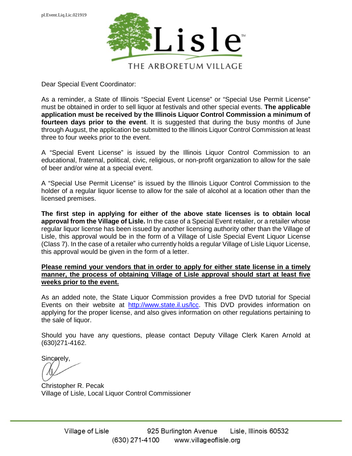

Dear Special Event Coordinator:

As a reminder, a State of Illinois "Special Event License" or "Special Use Permit License" must be obtained in order to sell liquor at festivals and other special events. **The applicable application must be received by the Illinois Liquor Control Commission a minimum of fourteen days prior to the event**. It is suggested that during the busy months of June through August, the application be submitted to the Illinois Liquor Control Commission at least three to four weeks prior to the event.

A "Special Event License" is issued by the Illinois Liquor Control Commission to an educational, fraternal, political, civic, religious, or non-profit organization to allow for the sale of beer and/or wine at a special event.

A "Special Use Permit License" is issued by the Illinois Liquor Control Commission to the holder of a regular liquor license to allow for the sale of alcohol at a location other than the licensed premises.

**The first step in applying for either of the above state licenses is to obtain local approval from the Village of Lisle.** In the case of a Special Event retailer, or a retailer whose regular liquor license has been issued by another licensing authority other than the Village of Lisle, this approval would be in the form of a Village of Lisle Special Event Liquor License (Class 7). In the case of a retailer who currently holds a regular Village of Lisle Liquor License, this approval would be given in the form of a letter.

#### **Please remind your vendors that in order to apply for either state license in a timely manner, the process of obtaining Village of Lisle approval should start at least five weeks prior to the event.**

As an added note, the State Liquor Commission provides a free DVD tutorial for Special Events on their website at [http://www.state.il.us/lcc.](http://www.state.il.us/lcc) This DVD provides information on applying for the proper license, and also gives information on other regulations pertaining to the sale of liquor.

Should you have any questions, please contact Deputy Village Clerk Karen Arnold at (630)271-4162.

Sincerely,

Christopher R. Pecak Village of Lisle, Local Liquor Control Commissioner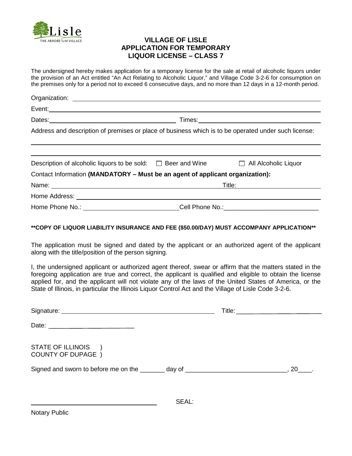

#### **VILLAGE OF LISLE APPLICATION FOR TEMPORARY LIQUOR LICENSE – CLASS 7**

The undersigned hereby makes application for a temporary license for the sale at retail of alcoholic liquors under the provision of an Act entitled "An Act Relating to Alcoholic Liquor," and Village Code 3-2-6 for consumption on the premises only for a period not to exceed 6 consecutive days, and no more than 12 days in a 12-month period.

|                                                                                                     | Event: <u>second</u> contract the contract of the contract of the contract of the contract of the contract of the contract of the contract of the contract of the contract of the contract of the contract of the contract of the c  |
|-----------------------------------------------------------------------------------------------------|--------------------------------------------------------------------------------------------------------------------------------------------------------------------------------------------------------------------------------------|
|                                                                                                     | Times: <u>Alexander School (2002)</u>                                                                                                                                                                                                |
|                                                                                                     | Address and description of premises or place of business which is to be operated under such license:                                                                                                                                 |
| Description of alcoholic liquors to be sold: $\square$ Beer and Wine $\square$ All Alcoholic Liquor |                                                                                                                                                                                                                                      |
| Contact Information (MANDATORY – Must be an agent of applicant organization):                       |                                                                                                                                                                                                                                      |
|                                                                                                     |                                                                                                                                                                                                                                      |
|                                                                                                     | Home Address: <u>New York: New York: New York: New York: New York: New York: New York: New York: New York: New York: New York: New York: New York: New York: New York: New York: New York: New York: New York: New York: New Yor</u> |
|                                                                                                     | Home Phone No.: ______________________________Cell Phone No.: ___________________                                                                                                                                                    |

#### **\*\*COPY OF LIQUOR LIABILITY INSURANCE AND FEE (\$50.00/DAY) MUST ACCOMPANY APPLICATION\*\***

The application must be signed and dated by the applicant or an authorized agent of the applicant along with the title/position of the person signing.

I, the undersigned applicant or authorized agent thereof, swear or affirm that the matters stated in the foregoing application are true and correct, the applicant is qualified and eligible to obtain the license applied for, and the applicant will not violate any of the laws of the United States of America, or the State of Illinois, in particular the Illinois Liquor Control Act and the Village of Lisle Code 3-2-6.

| Date:                                                                                      |  |
|--------------------------------------------------------------------------------------------|--|
| STATE OF ILLINOIS<br><b>COUNTY OF DUPAGE</b> )                                             |  |
| Signed and sworn to before me on the ________ day of _____________________________, 20____ |  |
| SEAL:                                                                                      |  |

Notary Public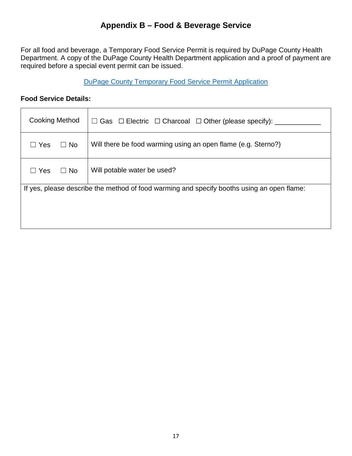### **Appendix B – Food & Beverage Service**

For all food and beverage, a Temporary Food Service Permit is required by DuPage County Health Department. A copy of the DuPage County Health Department application and a proof of payment are required before a special event permit can be issued.

[DuPage County Temporary Food Service Permit](https://www.dupagehealth.org/204/Temporary-Food-Services) Application

#### **Food Service Details:**

| <b>Cooking Method</b> |           | $\Box$ Gas $\Box$ Electric $\Box$ Charcoal $\Box$ Other (please specify):                  |
|-----------------------|-----------|--------------------------------------------------------------------------------------------|
| $\sqsupset$ Yes       | $\Box$ No | Will there be food warming using an open flame (e.g. Sterno?)                              |
| $\sqsupset$ Yes       | $\Box$ No | Will potable water be used?                                                                |
|                       |           | If yes, please describe the method of food warming and specify booths using an open flame: |
|                       |           |                                                                                            |
|                       |           |                                                                                            |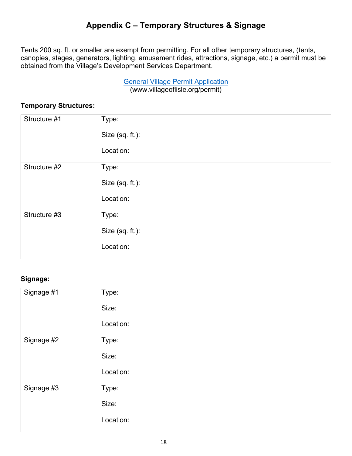## **Appendix C – Temporary Structures & Signage**

Tents 200 sq. ft. or smaller are exempt from permitting. For all other temporary structures, (tents, canopies, stages, generators, lighting, amusement rides, attractions, signage, etc.) a permit must be obtained from the Village's Development Services Department.

> General Village Permit Application (www.villageoflisle.org/permit)

#### **Temporary Structures:**

| Structure #1 | Type:           |
|--------------|-----------------|
|              |                 |
|              |                 |
|              | Size (sq. ft.): |
|              |                 |
|              | Location:       |
|              |                 |
|              |                 |
| Structure #2 | Type:           |
|              |                 |
|              |                 |
|              | Size (sq. ft.): |
|              |                 |
|              |                 |
|              | Location:       |
|              |                 |
| Structure #3 | Type:           |
|              |                 |
|              |                 |
|              | Size (sq. ft.): |
|              |                 |
|              |                 |
|              | Location:       |
|              |                 |
|              |                 |

#### **Signage:**

| Signage #1 | Type:     |
|------------|-----------|
|            |           |
|            | Size:     |
|            |           |
|            |           |
|            | Location: |
|            |           |
|            |           |
| Signage #2 | Type:     |
|            |           |
|            | Size:     |
|            |           |
|            |           |
|            | Location: |
|            |           |
|            |           |
| Signage #3 | Type:     |
|            |           |
|            | Size:     |
|            |           |
|            |           |
|            | Location: |
|            |           |
|            |           |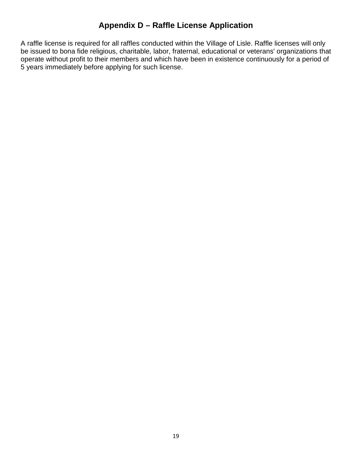### **Appendix D – Raffle License Application**

A raffle license is required for all raffles conducted within the Village of Lisle. Raffle licenses will only be issued to bona fide religious, charitable, labor, fraternal, educational or veterans' organizations that operate without profit to their members and which have been in existence continuously for a period of 5 years immediately before applying for such license.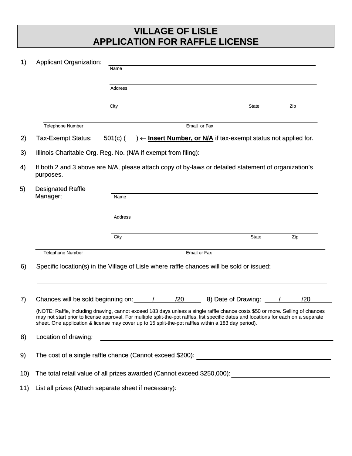## **VILLAGE OF LISLE APPLICATION FOR RAFFLE LICENSE**

| 1)  | <b>Applicant Organization:</b>                                                                                                                                                                                                                                                                                                                                                | Name           |  |  |                                                                            |  |     |  |  |  |
|-----|-------------------------------------------------------------------------------------------------------------------------------------------------------------------------------------------------------------------------------------------------------------------------------------------------------------------------------------------------------------------------------|----------------|--|--|----------------------------------------------------------------------------|--|-----|--|--|--|
|     |                                                                                                                                                                                                                                                                                                                                                                               | <b>Address</b> |  |  |                                                                            |  |     |  |  |  |
|     |                                                                                                                                                                                                                                                                                                                                                                               |                |  |  |                                                                            |  |     |  |  |  |
|     |                                                                                                                                                                                                                                                                                                                                                                               | City           |  |  | <b>State</b>                                                               |  | Zip |  |  |  |
|     | <b>Telephone Number</b>                                                                                                                                                                                                                                                                                                                                                       |                |  |  | Email or Fax                                                               |  |     |  |  |  |
| 2)  | Tax-Exempt Status:                                                                                                                                                                                                                                                                                                                                                            | 501(c) (       |  |  | ) $\leftarrow$ Insert Number, or N/A if tax-exempt status not applied for. |  |     |  |  |  |
| 3)  | Illinois Charitable Org. Reg. No. (N/A if exempt from filing):                                                                                                                                                                                                                                                                                                                |                |  |  |                                                                            |  |     |  |  |  |
| 4)  | If both 2 and 3 above are N/A, please attach copy of by-laws or detailed statement of organization's<br>purposes.                                                                                                                                                                                                                                                             |                |  |  |                                                                            |  |     |  |  |  |
| 5)  | <b>Designated Raffle</b><br>Manager:                                                                                                                                                                                                                                                                                                                                          | Name           |  |  |                                                                            |  |     |  |  |  |
|     |                                                                                                                                                                                                                                                                                                                                                                               | <b>Address</b> |  |  |                                                                            |  |     |  |  |  |
|     |                                                                                                                                                                                                                                                                                                                                                                               | City           |  |  | <b>State</b>                                                               |  | Zip |  |  |  |
|     | <b>Telephone Number</b>                                                                                                                                                                                                                                                                                                                                                       |                |  |  |                                                                            |  |     |  |  |  |
| 6)  | Specific location(s) in the Village of Lisle where raffle chances will be sold or issued:                                                                                                                                                                                                                                                                                     |                |  |  |                                                                            |  |     |  |  |  |
| 7)  |                                                                                                                                                                                                                                                                                                                                                                               |                |  |  | 8) Date of Drawing: /                                                      |  | /20 |  |  |  |
|     | (NOTE: Raffle, including drawing, cannot exceed 183 days unless a single raffle chance costs \$50 or more. Selling of chances<br>may not start prior to license approval. For multiple split-the-pot raffles, list specific dates and locations for each on a separate<br>sheet. One application & license may cover up to 15 split-the-pot raffles within a 183 day period). |                |  |  |                                                                            |  |     |  |  |  |
| 8)  | Location of drawing:                                                                                                                                                                                                                                                                                                                                                          |                |  |  | <u> 1989 - Johann Barn, amerikansk politiker (d. 1989)</u>                 |  |     |  |  |  |
| 9)  |                                                                                                                                                                                                                                                                                                                                                                               |                |  |  |                                                                            |  |     |  |  |  |
| 10) | The total retail value of all prizes awarded (Cannot exceed \$250,000): \\esson \\etal retail value of all prizes awarded (Cannot exceed \$250,000):                                                                                                                                                                                                                          |                |  |  |                                                                            |  |     |  |  |  |
|     |                                                                                                                                                                                                                                                                                                                                                                               |                |  |  |                                                                            |  |     |  |  |  |

11) List all prizes (Attach separate sheet if necessary):